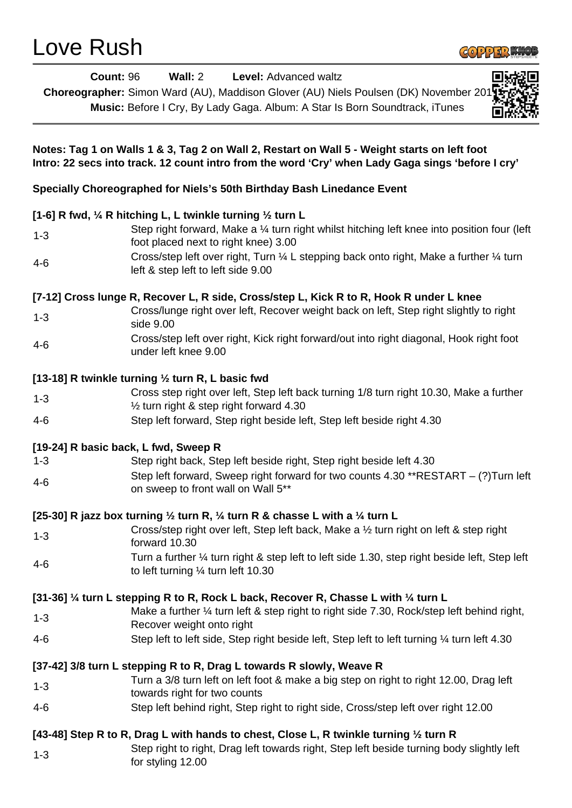# Love Rush



| <b>Count: 96</b>                                                                                                                                                                                  | Wall: 2<br>Level: Advanced waltz<br>Choreographer: Simon Ward (AU), Maddison Glover (AU) Niels Poulsen (DK) November 201<br>Music: Before I Cry, By Lady Gaga. Album: A Star Is Born Soundtrack, iTunes |
|---------------------------------------------------------------------------------------------------------------------------------------------------------------------------------------------------|---------------------------------------------------------------------------------------------------------------------------------------------------------------------------------------------------------|
| Notes: Tag 1 on Walls 1 & 3, Tag 2 on Wall 2, Restart on Wall 5 - Weight starts on left foot<br>Intro: 22 secs into track. 12 count intro from the word 'Cry' when Lady Gaga sings 'before I cry' |                                                                                                                                                                                                         |
| Specially Choreographed for Niels's 50th Birthday Bash Linedance Event                                                                                                                            |                                                                                                                                                                                                         |
| [1-6] R fwd, 1/4 R hitching L, L twinkle turning 1/2 turn L                                                                                                                                       |                                                                                                                                                                                                         |
| $1 - 3$                                                                                                                                                                                           | Step right forward, Make a 1/4 turn right whilst hitching left knee into position four (left<br>foot placed next to right knee) 3.00                                                                    |
| $4 - 6$                                                                                                                                                                                           | Cross/step left over right, Turn 1/4 L stepping back onto right, Make a further 1/4 turn<br>left & step left to left side 9.00                                                                          |
|                                                                                                                                                                                                   | [7-12] Cross lunge R, Recover L, R side, Cross/step L, Kick R to R, Hook R under L knee                                                                                                                 |
| $1 - 3$                                                                                                                                                                                           | Cross/lunge right over left, Recover weight back on left, Step right slightly to right<br>side 9.00                                                                                                     |
| $4 - 6$                                                                                                                                                                                           | Cross/step left over right, Kick right forward/out into right diagonal, Hook right foot<br>under left knee 9.00                                                                                         |
| [13-18] R twinkle turning 1/2 turn R, L basic fwd                                                                                                                                                 |                                                                                                                                                                                                         |
| $1 - 3$                                                                                                                                                                                           | Cross step right over left, Step left back turning 1/8 turn right 10.30, Make a further<br>$\frac{1}{2}$ turn right & step right forward 4.30                                                           |
| $4-6$                                                                                                                                                                                             | Step left forward, Step right beside left, Step left beside right 4.30                                                                                                                                  |
| [19-24] R basic back, L fwd, Sweep R                                                                                                                                                              |                                                                                                                                                                                                         |
| $1 - 3$                                                                                                                                                                                           | Step right back, Step left beside right, Step right beside left 4.30                                                                                                                                    |
| $4 - 6$                                                                                                                                                                                           | Step left forward, Sweep right forward for two counts 4.30 **RESTART - (?) Turn left<br>on sweep to front wall on Wall 5**                                                                              |
| [25-30] R jazz box turning $\frac{1}{2}$ turn R, $\frac{1}{4}$ turn R & chasse L with a $\frac{1}{4}$ turn L                                                                                      |                                                                                                                                                                                                         |
| $1 - 3$                                                                                                                                                                                           | Cross/step right over left, Step left back, Make a 1/2 turn right on left & step right<br>forward 10.30                                                                                                 |
| $4 - 6$                                                                                                                                                                                           | Turn a further 1/4 turn right & step left to left side 1.30, step right beside left, Step left<br>to left turning $\frac{1}{4}$ turn left 10.30                                                         |
|                                                                                                                                                                                                   | [31-36] 1/4 turn L stepping R to R, Rock L back, Recover R, Chasse L with 1/4 turn L                                                                                                                    |
| $1 - 3$                                                                                                                                                                                           | Make a further $\frac{1}{4}$ turn left & step right to right side 7.30, Rock/step left behind right,<br>Recover weight onto right                                                                       |
| $4 - 6$                                                                                                                                                                                           | Step left to left side, Step right beside left, Step left to left turning 1/4 turn left 4.30                                                                                                            |
|                                                                                                                                                                                                   | [37-42] 3/8 turn L stepping R to R, Drag L towards R slowly, Weave R                                                                                                                                    |
| $1 - 3$                                                                                                                                                                                           | Turn a 3/8 turn left on left foot & make a big step on right to right 12.00, Drag left<br>towards right for two counts                                                                                  |
| $4 - 6$                                                                                                                                                                                           | Step left behind right, Step right to right side, Cross/step left over right 12.00                                                                                                                      |
| [43-48] Step R to R, Drag L with hands to chest, Close L, R twinkle turning 1/2 turn R                                                                                                            |                                                                                                                                                                                                         |
| $1 - 3$                                                                                                                                                                                           | Step right to right, Drag left towards right, Step left beside turning body slightly left<br>for styling 12.00                                                                                          |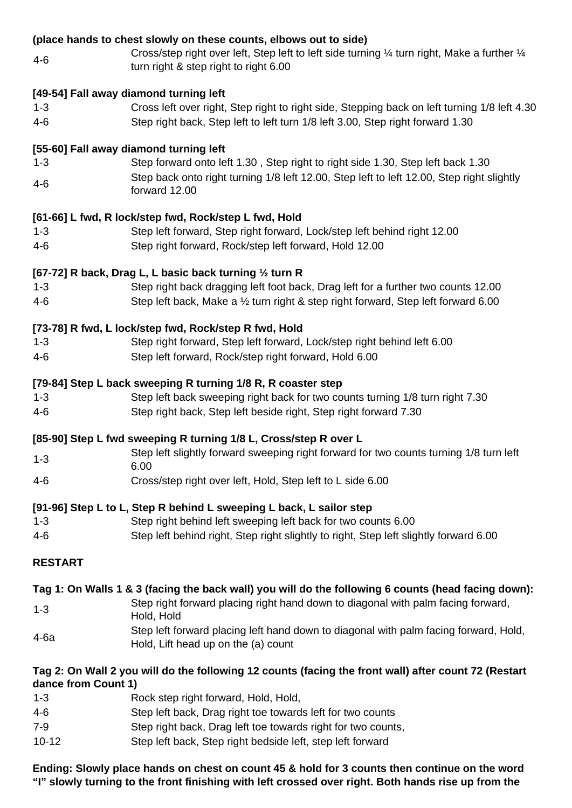# **(place hands to chest slowly on these counts, elbows out to side)**

4-6 Cross/step right over left, Step left to left side turning ¼ turn right, Make a further ¼ turn right & step right to right 6.00

## **[49-54] Fall away diamond turning left**

1-3 Cross left over right, Step right to right side, Stepping back on left turning 1/8 left 4.30 4-6 Step right back, Step left to left turn 1/8 left 3.00, Step right forward 1.30

## **[55-60] Fall away diamond turning left**

1-3 Step forward onto left 1.30 , Step right to right side 1.30, Step left back 1.30 4-6 Step back onto right turning 1/8 left 12.00, Step left to left 12.00, Step right slightly forward 12.00

### **[61-66] L fwd, R lock/step fwd, Rock/step L fwd, Hold**

- 1-3 Step left forward, Step right forward, Lock/step left behind right 12.00
- 4-6 Step right forward, Rock/step left forward, Hold 12.00

## **[67-72] R back, Drag L, L basic back turning ½ turn R**

1-3 Step right back dragging left foot back, Drag left for a further two counts 12.00 4-6 Step left back, Make a ½ turn right & step right forward, Step left forward 6.00

### **[73-78] R fwd, L lock/step fwd, Rock/step R fwd, Hold**

- 1-3 Step right forward, Step left forward, Lock/step right behind left 6.00
- 4-6 Step left forward, Rock/step right forward, Hold 6.00

### **[79-84] Step L back sweeping R turning 1/8 R, R coaster step**

- 1-3 Step left back sweeping right back for two counts turning 1/8 turn right 7.30
- 4-6 Step right back, Step left beside right, Step right forward 7.30

#### **[85-90] Step L fwd sweeping R turning 1/8 L, Cross/step R over L**

- 1-3 Step left slightly forward sweeping right forward for two counts turning 1/8 turn left 6.00
- 4-6 Cross/step right over left, Hold, Step left to L side 6.00

## **[91-96] Step L to L, Step R behind L sweeping L back, L sailor step**

- 1-3 Step right behind left sweeping left back for two counts 6.00
- 4-6 Step left behind right, Step right slightly to right, Step left slightly forward 6.00

## **RESTART**

#### **Tag 1: On Walls 1 & 3 (facing the back wall) you will do the following 6 counts (head facing down):**

- 1-3 Step right forward placing right hand down to diagonal with palm facing forward, Hold, Hold
- 4-6a Step left forward placing left hand down to diagonal with palm facing forward, Hold, Hold, Lift head up on the (a) count

## **Tag 2: On Wall 2 you will do the following 12 counts (facing the front wall) after count 72 (Restart dance from Count 1)**

- 1-3 Rock step right forward, Hold, Hold, 4-6 Step left back, Drag right toe towards left for two counts 7-9 Step right back, Drag left toe towards right for two counts,
- 10-12 Step left back, Step right bedside left, step left forward

## **Ending: Slowly place hands on chest on count 45 & hold for 3 counts then continue on the word "I" slowly turning to the front finishing with left crossed over right. Both hands rise up from the**